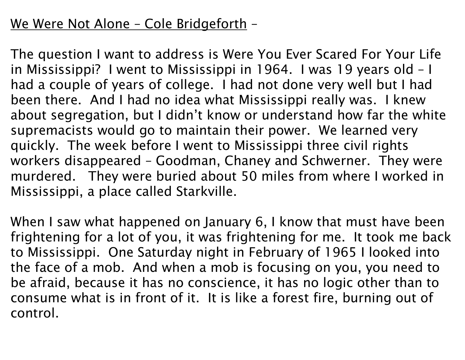## We Were Not Alone – Cole Bridgeforth –

The question I want to address is Were You Ever Scared For Your Life in Mississippi? I went to Mississippi in 1964. I was 19 years old – I had a couple of years of college. I had not done very well but I had been there. And I had no idea what Mississippi really was. I knew about segregation, but I didn't know or understand how far the white supremacists would go to maintain their power. We learned very quickly. The week before I went to Mississippi three civil rights workers disappeared – Goodman, Chaney and Schwerner. They were murdered. They were buried about 50 miles from where I worked in Mississippi, a place called Starkville.

When I saw what happened on January 6, I know that must have been frightening for a lot of you, it was frightening for me. It took me back to Mississippi. One Saturday night in February of 1965 I looked into the face of a mob. And when a mob is focusing on you, you need to be afraid, because it has no conscience, it has no logic other than to consume what is in front of it. It is like a forest fire, burning out of control.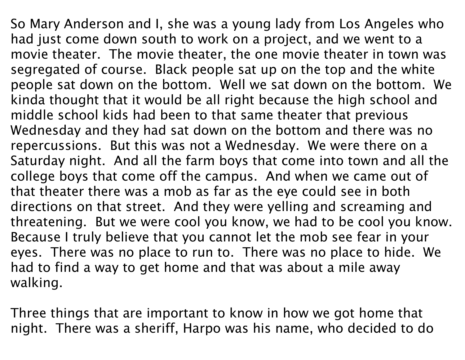So Mary Anderson and I, she was a young lady from Los Angeles who had just come down south to work on a project, and we went to a movie theater. The movie theater, the one movie theater in town was segregated of course. Black people sat up on the top and the white people sat down on the bottom. Well we sat down on the bottom. We kinda thought that it would be all right because the high school and middle school kids had been to that same theater that previous Wednesday and they had sat down on the bottom and there was no repercussions. But this was not a Wednesday. We were there on a Saturday night. And all the farm boys that come into town and all the college boys that come off the campus. And when we came out of that theater there was a mob as far as the eye could see in both directions on that street. And they were yelling and screaming and threatening. But we were cool you know, we had to be cool you know. Because I truly believe that you cannot let the mob see fear in your eyes. There was no place to run to. There was no place to hide. We had to find a way to get home and that was about a mile away walking.

Three things that are important to know in how we got home that night. There was a sheriff, Harpo was his name, who decided to do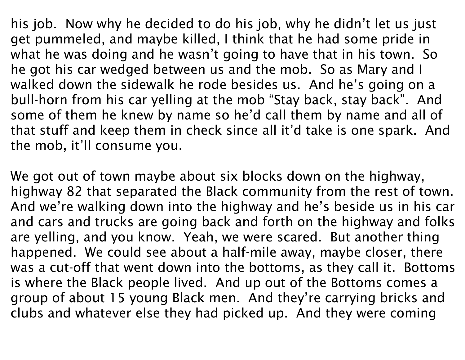his job. Now why he decided to do his job, why he didn't let us just get pummeled, and maybe killed, I think that he had some pride in what he was doing and he wasn't going to have that in his town. So he got his car wedged between us and the mob. So as Mary and I walked down the sidewalk he rode besides us. And he's going on a bull-horn from his car yelling at the mob "Stay back, stay back". And some of them he knew by name so he'd call them by name and all of that stuff and keep them in check since all it'd take is one spark. And the mob, it'll consume you.

We got out of town maybe about six blocks down on the highway, highway 82 that separated the Black community from the rest of town. And we're walking down into the highway and he's beside us in his car and cars and trucks are going back and forth on the highway and folks are yelling, and you know. Yeah, we were scared. But another thing happened. We could see about a half-mile away, maybe closer, there was a cut-off that went down into the bottoms, as they call it. Bottoms is where the Black people lived. And up out of the Bottoms comes a group of about 15 young Black men. And they're carrying bricks and clubs and whatever else they had picked up. And they were coming